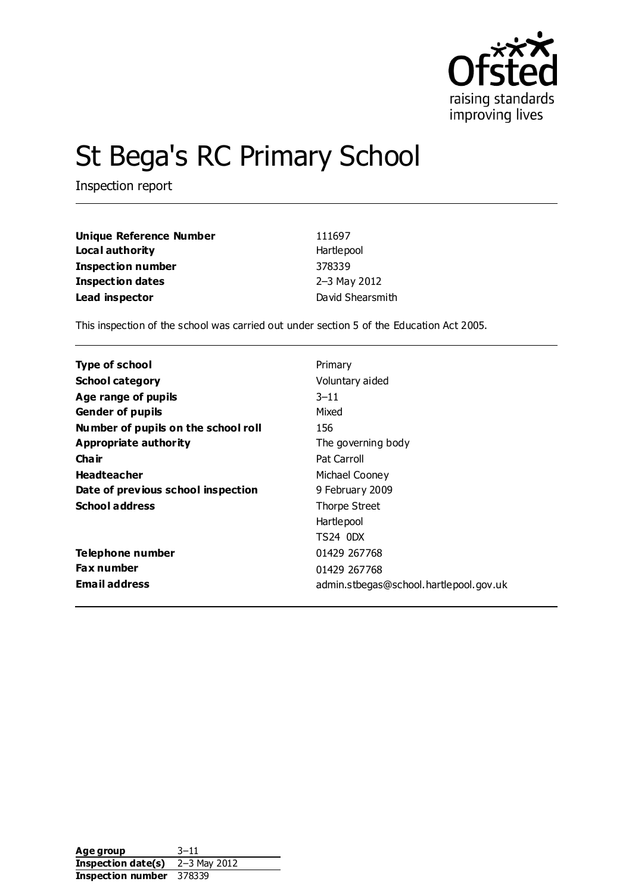

# St Bega's RC Primary School

Inspection report

| <b>Unique Reference Number</b> | 111697           |
|--------------------------------|------------------|
| Local authority                | Hartlepool       |
| <b>Inspection number</b>       | 378339           |
| Inspection dates               | 2-3 May 2012     |
| Lead inspector                 | David Shearsmith |

This inspection of the school was carried out under section 5 of the Education Act 2005.

| Type of school                      | Primary                                |
|-------------------------------------|----------------------------------------|
| <b>School category</b>              | Voluntary aided                        |
| Age range of pupils                 | $3 - 11$                               |
| <b>Gender of pupils</b>             | Mixed                                  |
| Number of pupils on the school roll | 156                                    |
| Appropriate authority               | The governing body                     |
| Cha ir                              | Pat Carroll                            |
| <b>Headteacher</b>                  | Michael Cooney                         |
| Date of previous school inspection  | 9 February 2009                        |
| <b>School address</b>               | Thorpe Street                          |
|                                     | Hartlepool                             |
|                                     | TS24 ODX                               |
| Telephone number                    | 01429 267768                           |
| <b>Fax number</b>                   | 01429 267768                           |
| <b>Email address</b>                | admin.stbegas@school.hartlepool.gov.uk |

Age group 3–11 **Inspection date(s)** 2–3 May 2012 **Inspection number** 378339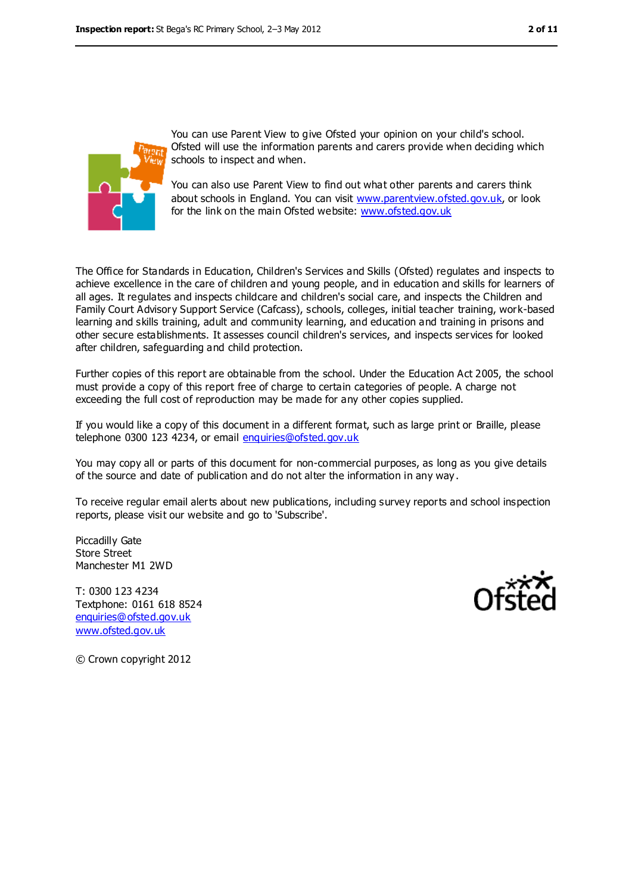

You can use Parent View to give Ofsted your opinion on your child's school. Ofsted will use the information parents and carers provide when deciding which schools to inspect and when.

You can also use Parent View to find out what other parents and carers think about schools in England. You can visit [www.parentview.ofsted.gov.uk,](file:///C:/Users/ggleaden/AppData/AppData/Local/Microsoft/Windows/Temporary%20Internet%20Files/AppData/AppData/Local/Temp/www.parentview.ofsted.gov.uk) or look for the link on the main Ofsted website: [www.ofsted.gov.uk](file:///C:/Users/ggleaden/AppData/AppData/Local/Microsoft/Windows/Temporary%20Internet%20Files/AppData/AppData/Local/Temp/www.ofsted.gov.uk)

The Office for Standards in Education, Children's Services and Skills (Ofsted) regulates and inspects to achieve excellence in the care of children and young people, and in education and skills for learners of all ages. It regulates and inspects childcare and children's social care, and inspects the Children and Family Court Advisory Support Service (Cafcass), schools, colleges, initial teacher training, work-based learning and skills training, adult and community learning, and education and training in prisons and other secure establishments. It assesses council children's services, and inspects services for looked after children, safeguarding and child protection.

Further copies of this report are obtainable from the school. Under the Education Act 2005, the school must provide a copy of this report free of charge to certain categories of people. A charge not exceeding the full cost of reproduction may be made for any other copies supplied.

If you would like a copy of this document in a different format, such as large print or Braille, please telephone 0300 123 4234, or email [enquiries@ofsted.gov.uk](mailto:enquiries@ofsted.gov.uk)

You may copy all or parts of this document for non-commercial purposes, as long as you give details of the source and date of publication and do not alter the information in any way .

To receive regular email alerts about new publications, including survey reports and school inspection reports, please visit our website and go to 'Subscribe'.

Piccadilly Gate Store Street Manchester M1 2WD

T: 0300 123 4234 Textphone: 0161 618 8524 [enquiries@ofsted.gov.uk](mailto:enquiries@ofsted.gov.uk) [www.ofsted.gov.uk](http://www.ofsted.gov.uk/)



© Crown copyright 2012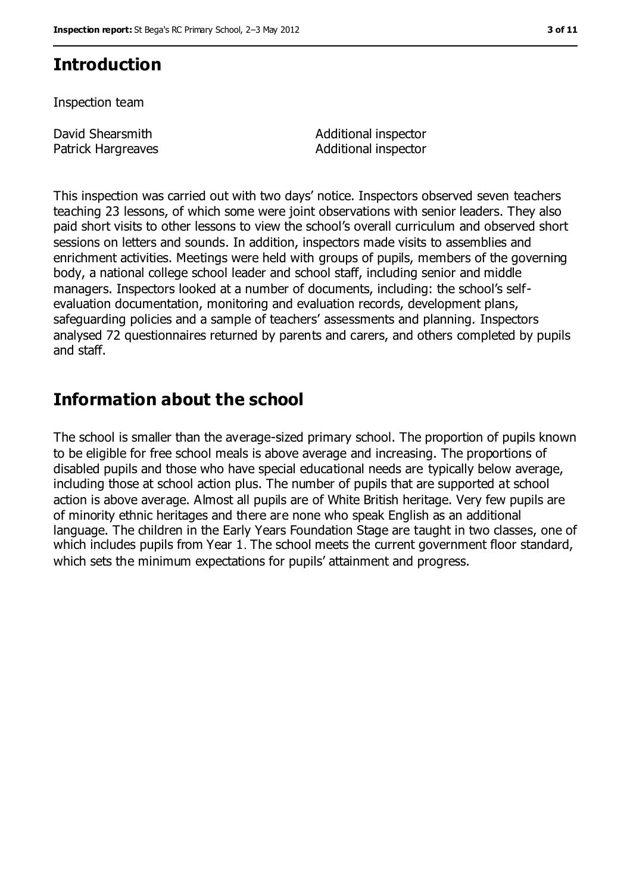# **Introduction**

Inspection team

David Shearsmith Patrick Hargreaves Additional inspector Additional inspector

This inspection was carried out with two days' notice. Inspectors observed seven teachers teaching 23 lessons, of which some were joint observations with senior leaders. They also paid short visits to other lessons to view the school's overall curriculum and observed short sessions on letters and sounds. In addition, inspectors made visits to assemblies and enrichment activities. Meetings were held with groups of pupils, members of the governing body, a national college school leader and school staff, including senior and middle managers. Inspectors looked at a number of documents, including: the school's selfevaluation documentation, monitoring and evaluation records, development plans, safeguarding policies and a sample of teachers' assessments and planning. Inspectors analysed 72 questionnaires returned by parents and carers, and others completed by pupils and staff.

# **Information about the school**

The school is smaller than the average-sized primary school. The proportion of pupils known to be eligible for free school meals is above average and increasing. The proportions of disabled pupils and those who have special educational needs are typically below average, including those at school action plus. The number of pupils that are supported at school action is above average. Almost all pupils are of White British heritage. Very few pupils are of minority ethnic heritages and there are none who speak English as an additional language. The children in the Early Years Foundation Stage are taught in two classes, one of which includes pupils from Year 1. The school meets the current government floor standard, which sets the minimum expectations for pupils' attainment and progress.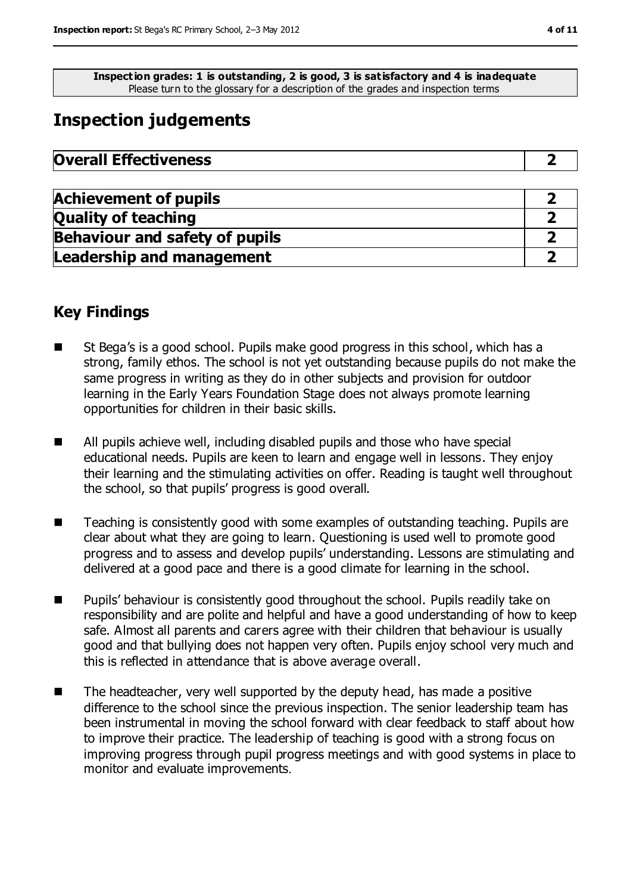**Inspection grades: 1 is outstanding, 2 is good, 3 is satisfactory and 4 is inadequate** Please turn to the glossary for a description of the grades and inspection terms

# **Inspection judgements**

| <b>Overall Effectiveness</b> |  |
|------------------------------|--|
|------------------------------|--|

| <b>Achievement of pupils</b>          |  |
|---------------------------------------|--|
| <b>Quality of teaching</b>            |  |
| <b>Behaviour and safety of pupils</b> |  |
| <b>Leadership and management</b>      |  |

## **Key Findings**

- St Bega's is a good school. Pupils make good progress in this school, which has a strong, family ethos. The school is not yet outstanding because pupils do not make the same progress in writing as they do in other subjects and provision for outdoor learning in the Early Years Foundation Stage does not always promote learning opportunities for children in their basic skills.
- All pupils achieve well, including disabled pupils and those who have special educational needs. Pupils are keen to learn and engage well in lessons. They enjoy their learning and the stimulating activities on offer. Reading is taught well throughout the school, so that pupils' progress is good overall.
- Teaching is consistently good with some examples of outstanding teaching. Pupils are clear about what they are going to learn. Questioning is used well to promote good progress and to assess and develop pupils' understanding. Lessons are stimulating and delivered at a good pace and there is a good climate for learning in the school.
- Pupils' behaviour is consistently good throughout the school. Pupils readily take on responsibility and are polite and helpful and have a good understanding of how to keep safe. Almost all parents and carers agree with their children that behaviour is usually good and that bullying does not happen very often. Pupils enjoy school very much and this is reflected in attendance that is above average overall.
- $\blacksquare$  The headteacher, very well supported by the deputy head, has made a positive difference to the school since the previous inspection. The senior leadership team has been instrumental in moving the school forward with clear feedback to staff about how to improve their practice. The leadership of teaching is good with a strong focus on improving progress through pupil progress meetings and with good systems in place to monitor and evaluate improvements.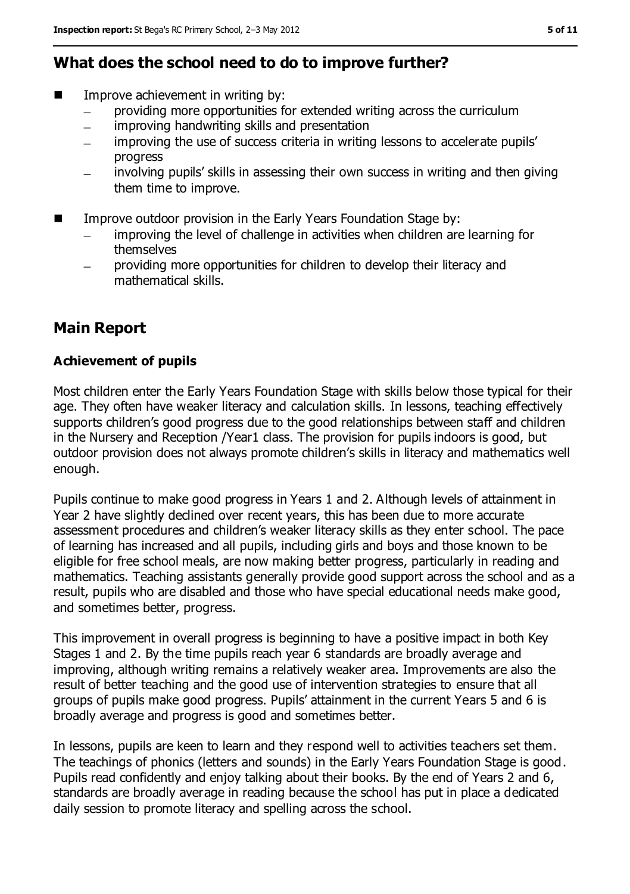## **What does the school need to do to improve further?**

- Improve achievement in writing by:
	- providing more opportunities for extended writing across the curriculum
	- improving handwriting skills and presentation  $\equiv$
	- improving the use of success criteria in writing lessons to accelerate pupils' progress
	- involving pupils' skills in assessing their own success in writing and then giving them time to improve.
- Improve outdoor provision in the Early Years Foundation Stage by:
	- improving the level of challenge in activities when children are learning for  $\equiv$ themselves
	- providing more opportunities for children to develop their literacy and mathematical skills.

## **Main Report**

### **Achievement of pupils**

Most children enter the Early Years Foundation Stage with skills below those typical for their age. They often have weaker literacy and calculation skills. In lessons, teaching effectively supports children's good progress due to the good relationships between staff and children in the Nursery and Reception /Year1 class. The provision for pupils indoors is good, but outdoor provision does not always promote children's skills in literacy and mathematics well enough.

Pupils continue to make good progress in Years 1 and 2. Although levels of attainment in Year 2 have slightly declined over recent years, this has been due to more accurate assessment procedures and children's weaker literacy skills as they enter school. The pace of learning has increased and all pupils, including girls and boys and those known to be eligible for free school meals, are now making better progress, particularly in reading and mathematics. Teaching assistants generally provide good support across the school and as a result, pupils who are disabled and those who have special educational needs make good, and sometimes better, progress.

This improvement in overall progress is beginning to have a positive impact in both Key Stages 1 and 2. By the time pupils reach year 6 standards are broadly average and improving, although writing remains a relatively weaker area. Improvements are also the result of better teaching and the good use of intervention strategies to ensure that all groups of pupils make good progress. Pupils' attainment in the current Years 5 and 6 is broadly average and progress is good and sometimes better.

In lessons, pupils are keen to learn and they respond well to activities teachers set them. The teachings of phonics (letters and sounds) in the Early Years Foundation Stage is good. Pupils read confidently and enjoy talking about their books. By the end of Years 2 and 6, standards are broadly average in reading because the school has put in place a dedicated daily session to promote literacy and spelling across the school.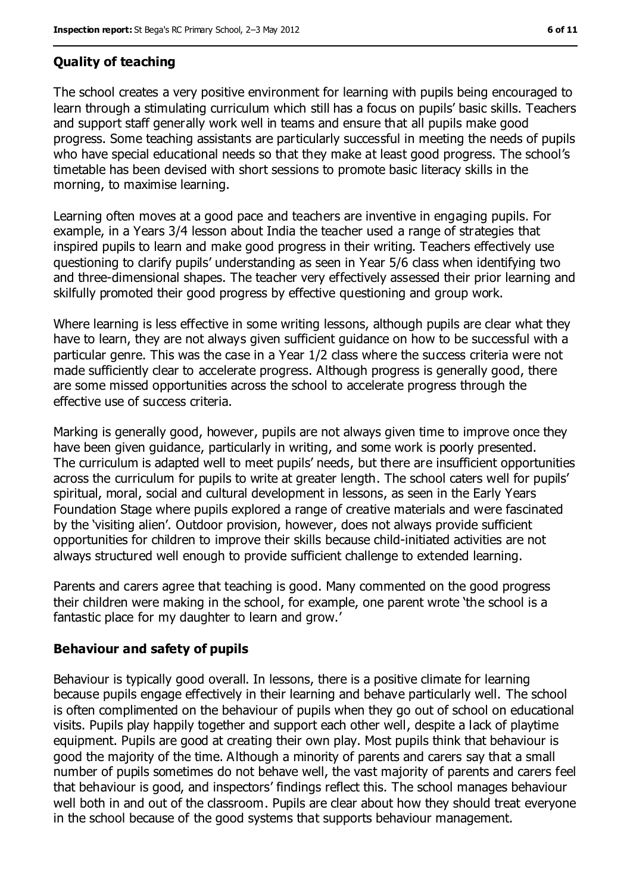## **Quality of teaching**

The school creates a very positive environment for learning with pupils being encouraged to learn through a stimulating curriculum which still has a focus on pupils' basic skills. Teachers and support staff generally work well in teams and ensure that all pupils make good progress. Some teaching assistants are particularly successful in meeting the needs of pupils who have special educational needs so that they make at least good progress. The school's timetable has been devised with short sessions to promote basic literacy skills in the morning, to maximise learning.

Learning often moves at a good pace and teachers are inventive in engaging pupils. For example, in a Years 3/4 lesson about India the teacher used a range of strategies that inspired pupils to learn and make good progress in their writing. Teachers effectively use questioning to clarify pupils' understanding as seen in Year 5/6 class when identifying two and three-dimensional shapes. The teacher very effectively assessed their prior learning and skilfully promoted their good progress by effective questioning and group work.

Where learning is less effective in some writing lessons, although pupils are clear what they have to learn, they are not always given sufficient guidance on how to be successful with a particular genre. This was the case in a Year 1/2 class where the success criteria were not made sufficiently clear to accelerate progress. Although progress is generally good, there are some missed opportunities across the school to accelerate progress through the effective use of success criteria.

Marking is generally good, however, pupils are not always given time to improve once they have been given guidance, particularly in writing, and some work is poorly presented. The curriculum is adapted well to meet pupils' needs, but there are insufficient opportunities across the curriculum for pupils to write at greater length. The school caters well for pupils' spiritual, moral, social and cultural development in lessons, as seen in the Early Years Foundation Stage where pupils explored a range of creative materials and were fascinated by the 'visiting alien'. Outdoor provision, however, does not always provide sufficient opportunities for children to improve their skills because child-initiated activities are not always structured well enough to provide sufficient challenge to extended learning.

Parents and carers agree that teaching is good. Many commented on the good progress their children were making in the school, for example, one parent wrote 'the school is a fantastic place for my daughter to learn and grow.'

### **Behaviour and safety of pupils**

Behaviour is typically good overall. In lessons, there is a positive climate for learning because pupils engage effectively in their learning and behave particularly well. The school is often complimented on the behaviour of pupils when they go out of school on educational visits. Pupils play happily together and support each other well, despite a lack of playtime equipment. Pupils are good at creating their own play. Most pupils think that behaviour is good the majority of the time. Although a minority of parents and carers say that a small number of pupils sometimes do not behave well, the vast majority of parents and carers feel that behaviour is good, and inspectors' findings reflect this. The school manages behaviour well both in and out of the classroom. Pupils are clear about how they should treat everyone in the school because of the good systems that supports behaviour management.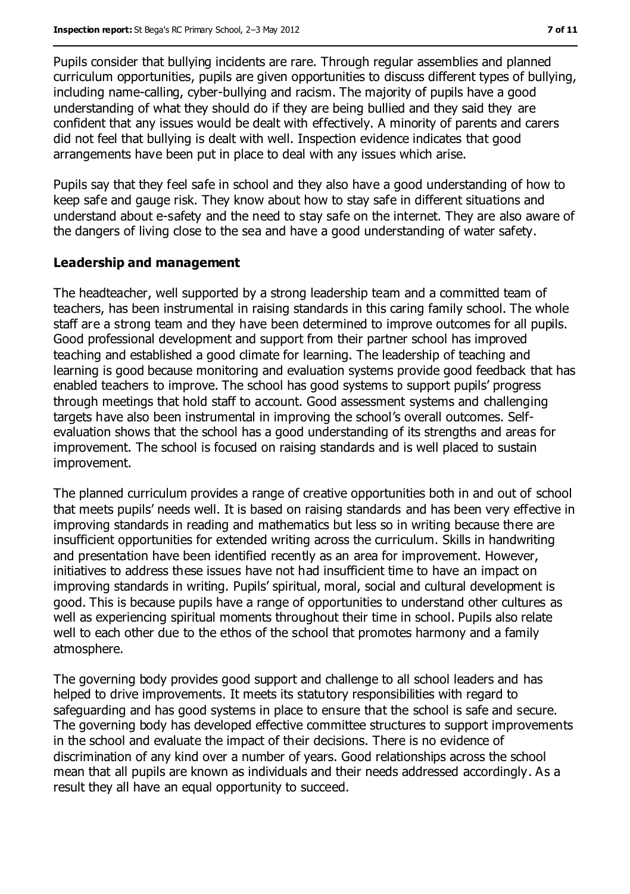Pupils consider that bullying incidents are rare. Through regular assemblies and planned curriculum opportunities, pupils are given opportunities to discuss different types of bullying, including name-calling, cyber-bullying and racism. The majority of pupils have a good understanding of what they should do if they are being bullied and they said they are confident that any issues would be dealt with effectively. A minority of parents and carers did not feel that bullying is dealt with well. Inspection evidence indicates that good arrangements have been put in place to deal with any issues which arise.

Pupils say that they feel safe in school and they also have a good understanding of how to keep safe and gauge risk. They know about how to stay safe in different situations and understand about e-safety and the need to stay safe on the internet. They are also aware of the dangers of living close to the sea and have a good understanding of water safety.

#### **Leadership and management**

The headteacher, well supported by a strong leadership team and a committed team of teachers, has been instrumental in raising standards in this caring family school. The whole staff are a strong team and they have been determined to improve outcomes for all pupils. Good professional development and support from their partner school has improved teaching and established a good climate for learning. The leadership of teaching and learning is good because monitoring and evaluation systems provide good feedback that has enabled teachers to improve. The school has good systems to support pupils' progress through meetings that hold staff to account. Good assessment systems and challenging targets have also been instrumental in improving the school's overall outcomes. Selfevaluation shows that the school has a good understanding of its strengths and areas for improvement. The school is focused on raising standards and is well placed to sustain improvement.

The planned curriculum provides a range of creative opportunities both in and out of school that meets pupils' needs well. It is based on raising standards and has been very effective in improving standards in reading and mathematics but less so in writing because there are insufficient opportunities for extended writing across the curriculum. Skills in handwriting and presentation have been identified recently as an area for improvement. However, initiatives to address these issues have not had insufficient time to have an impact on improving standards in writing. Pupils' spiritual, moral, social and cultural development is good. This is because pupils have a range of opportunities to understand other cultures as well as experiencing spiritual moments throughout their time in school. Pupils also relate well to each other due to the ethos of the school that promotes harmony and a family atmosphere.

The governing body provides good support and challenge to all school leaders and has helped to drive improvements. It meets its statutory responsibilities with regard to safeguarding and has good systems in place to ensure that the school is safe and secure. The governing body has developed effective committee structures to support improvements in the school and evaluate the impact of their decisions. There is no evidence of discrimination of any kind over a number of years. Good relationships across the school mean that all pupils are known as individuals and their needs addressed accordingly. As a result they all have an equal opportunity to succeed.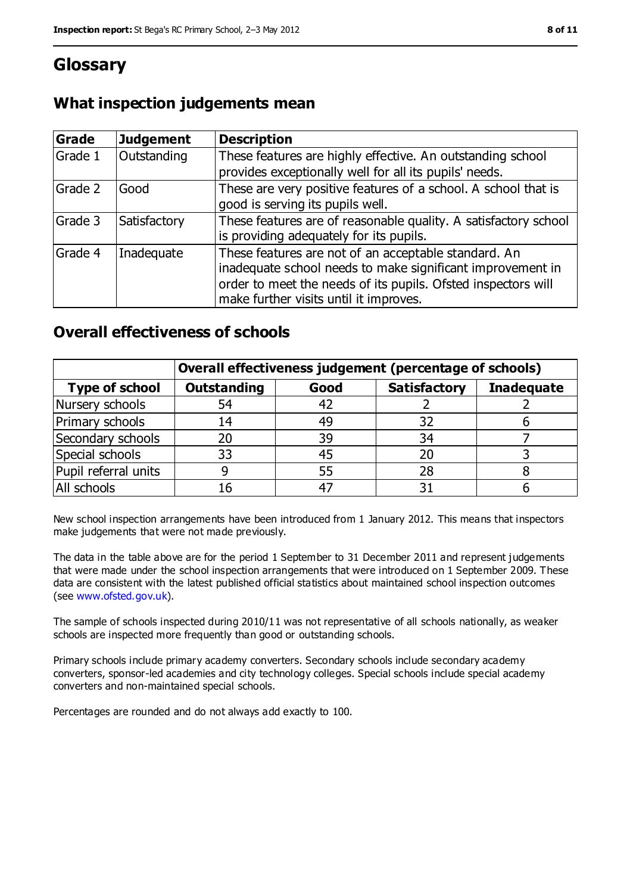# **Glossary**

| What inspection judgements mean |  |  |
|---------------------------------|--|--|
|---------------------------------|--|--|

| Grade   | <b>Judgement</b> | <b>Description</b>                                                                                                                                                                                                            |
|---------|------------------|-------------------------------------------------------------------------------------------------------------------------------------------------------------------------------------------------------------------------------|
| Grade 1 | Outstanding      | These features are highly effective. An outstanding school<br>provides exceptionally well for all its pupils' needs.                                                                                                          |
| Grade 2 | Good             | These are very positive features of a school. A school that is<br>good is serving its pupils well.                                                                                                                            |
| Grade 3 | Satisfactory     | These features are of reasonable quality. A satisfactory school<br>is providing adequately for its pupils.                                                                                                                    |
| Grade 4 | Inadequate       | These features are not of an acceptable standard. An<br>inadequate school needs to make significant improvement in<br>order to meet the needs of its pupils. Ofsted inspectors will<br>make further visits until it improves. |

## **Overall effectiveness of schools**

|                       | Overall effectiveness judgement (percentage of schools) |      |                     |                   |
|-----------------------|---------------------------------------------------------|------|---------------------|-------------------|
| <b>Type of school</b> | <b>Outstanding</b>                                      | Good | <b>Satisfactory</b> | <b>Inadequate</b> |
| Nursery schools       | 54                                                      | 42   |                     |                   |
| Primary schools       | 14                                                      | 49   | 32                  |                   |
| Secondary schools     | 20                                                      | 39   | 34                  |                   |
| Special schools       | 33                                                      | 45   | 20                  |                   |
| Pupil referral units  | 9                                                       | 55   | 28                  |                   |
| All schools           | 16                                                      |      |                     |                   |

New school inspection arrangements have been introduced from 1 January 2012. This means that inspectors make judgements that were not made previously.

The data in the table above are for the period 1 September to 31 December 2011 and represent judgements that were made under the school inspection arrangements that were introduced on 1 September 2009. These data are consistent with the latest published official statistics about maintained school inspection outcomes (see [www.ofsted.gov.uk\)](file:///C:/Users/ggleaden/AppData/AppData/Local/Microsoft/Windows/Temporary%20Internet%20Files/AppData/AppData/Local/Temp/www.ofsted.gov.uk).

The sample of schools inspected during 2010/11 was not representative of all schools nationally, as weaker schools are inspected more frequently than good or outstanding schools.

Primary schools include primary academy converters. Secondary schools include secondary academy converters, sponsor-led academies and city technology colleges. Special schools include special academy converters and non-maintained special schools.

Percentages are rounded and do not always add exactly to 100.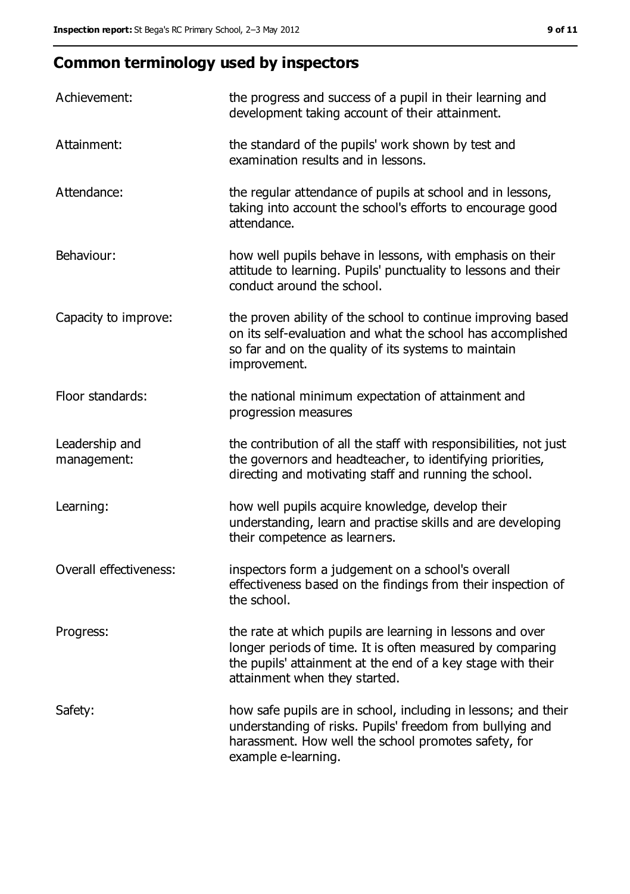# **Common terminology used by inspectors**

| Achievement:                  | the progress and success of a pupil in their learning and<br>development taking account of their attainment.                                                                                                           |
|-------------------------------|------------------------------------------------------------------------------------------------------------------------------------------------------------------------------------------------------------------------|
| Attainment:                   | the standard of the pupils' work shown by test and<br>examination results and in lessons.                                                                                                                              |
| Attendance:                   | the regular attendance of pupils at school and in lessons,<br>taking into account the school's efforts to encourage good<br>attendance.                                                                                |
| Behaviour:                    | how well pupils behave in lessons, with emphasis on their<br>attitude to learning. Pupils' punctuality to lessons and their<br>conduct around the school.                                                              |
| Capacity to improve:          | the proven ability of the school to continue improving based<br>on its self-evaluation and what the school has accomplished<br>so far and on the quality of its systems to maintain<br>improvement.                    |
| Floor standards:              | the national minimum expectation of attainment and<br>progression measures                                                                                                                                             |
| Leadership and<br>management: | the contribution of all the staff with responsibilities, not just<br>the governors and headteacher, to identifying priorities,<br>directing and motivating staff and running the school.                               |
| Learning:                     | how well pupils acquire knowledge, develop their<br>understanding, learn and practise skills and are developing<br>their competence as learners.                                                                       |
| Overall effectiveness:        | inspectors form a judgement on a school's overall<br>effectiveness based on the findings from their inspection of<br>the school.                                                                                       |
| Progress:                     | the rate at which pupils are learning in lessons and over<br>longer periods of time. It is often measured by comparing<br>the pupils' attainment at the end of a key stage with their<br>attainment when they started. |
| Safety:                       | how safe pupils are in school, including in lessons; and their<br>understanding of risks. Pupils' freedom from bullying and<br>harassment. How well the school promotes safety, for<br>example e-learning.             |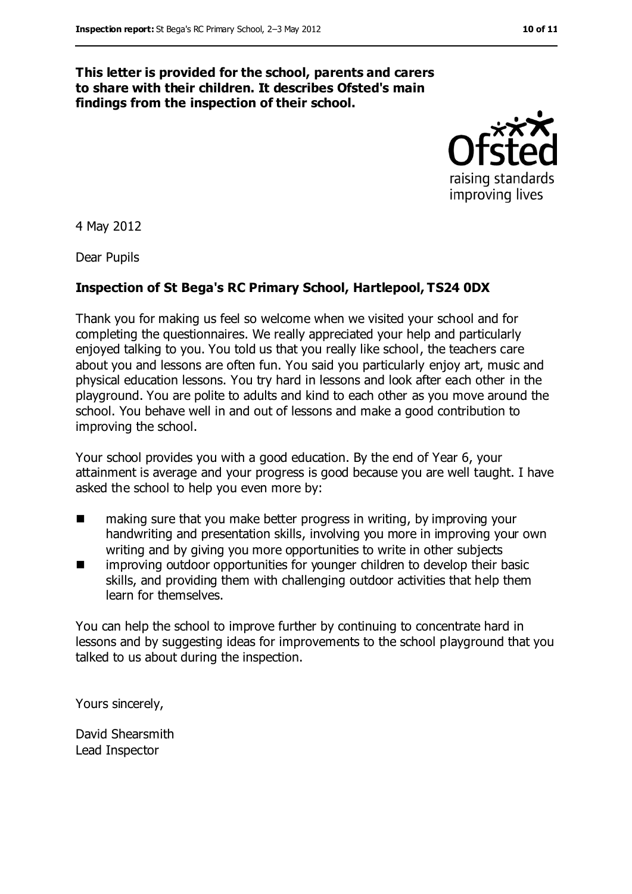#### **This letter is provided for the school, parents and carers to share with their children. It describes Ofsted's main findings from the inspection of their school.**



4 May 2012

Dear Pupils

#### **Inspection of St Bega's RC Primary School, Hartlepool, TS24 0DX**

Thank you for making us feel so welcome when we visited your school and for completing the questionnaires. We really appreciated your help and particularly enjoyed talking to you. You told us that you really like school, the teachers care about you and lessons are often fun. You said you particularly enjoy art, music and physical education lessons. You try hard in lessons and look after each other in the playground. You are polite to adults and kind to each other as you move around the school. You behave well in and out of lessons and make a good contribution to improving the school.

Your school provides you with a good education. By the end of Year 6, your attainment is average and your progress is good because you are well taught. I have asked the school to help you even more by:

- making sure that you make better progress in writing, by improving your handwriting and presentation skills, involving you more in improving your own writing and by giving you more opportunities to write in other subjects
- **In** improving outdoor opportunities for younger children to develop their basic skills, and providing them with challenging outdoor activities that help them learn for themselves.

You can help the school to improve further by continuing to concentrate hard in lessons and by suggesting ideas for improvements to the school playground that you talked to us about during the inspection.

Yours sincerely,

David Shearsmith Lead Inspector